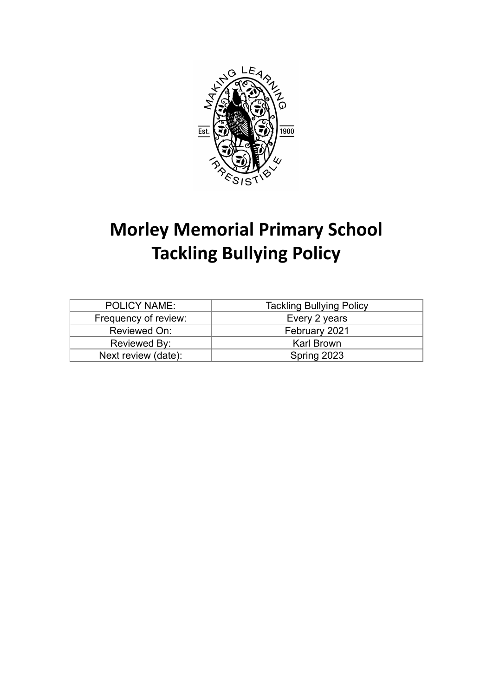

# **Morley Memorial Primary School Tackling Bullying Policy**

| <b>POLICY NAME:</b>  | <b>Tackling Bullying Policy</b> |
|----------------------|---------------------------------|
| Frequency of review: | Every 2 years                   |
| Reviewed On:         | February 2021                   |
| Reviewed By:         | <b>Karl Brown</b>               |
| Next review (date):  | Spring 2023                     |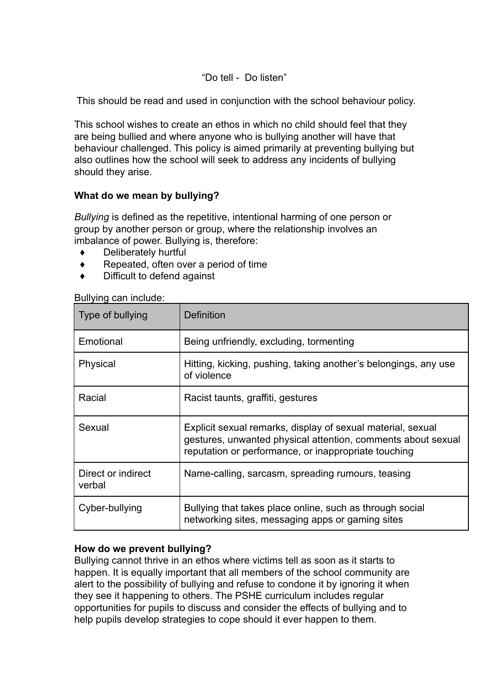"Do tell - Do listen"

This should be read and used in conjunction with the school behaviour policy.

This school wishes to create an ethos in which no child should feel that they are being bullied and where anyone who is bullying another will have that behaviour challenged. This policy is aimed primarily at preventing bullying but also outlines how the school will seek to address any incidents of bullying should they arise.

## **What do we mean by bullying?**

*Bullying* is defined as the repetitive, intentional harming of one person or group by another person or group, where the relationship involves an imbalance of power. Bullying is, therefore:

- Deliberately hurtful
- Repeated, often over a period of time
- Difficult to defend against

| Type of bullying             | <b>Definition</b>                                                                                                                                                                   |
|------------------------------|-------------------------------------------------------------------------------------------------------------------------------------------------------------------------------------|
| Emotional                    | Being unfriendly, excluding, tormenting                                                                                                                                             |
| Physical                     | Hitting, kicking, pushing, taking another's belongings, any use<br>of violence                                                                                                      |
| Racial                       | Racist taunts, graffiti, gestures                                                                                                                                                   |
| Sexual                       | Explicit sexual remarks, display of sexual material, sexual<br>gestures, unwanted physical attention, comments about sexual<br>reputation or performance, or inappropriate touching |
| Direct or indirect<br>verbal | Name-calling, sarcasm, spreading rumours, teasing                                                                                                                                   |
| Cyber-bullying               | Bullying that takes place online, such as through social<br>networking sites, messaging apps or gaming sites                                                                        |

Bullying can include:

## **How do we prevent bullying?**

Bullying cannot thrive in an ethos where victims tell as soon as it starts to happen. It is equally important that all members of the school community are alert to the possibility of bullying and refuse to condone it by ignoring it when they see it happening to others. The PSHE curriculum includes regular opportunities for pupils to discuss and consider the effects of bullying and to help pupils develop strategies to cope should it ever happen to them.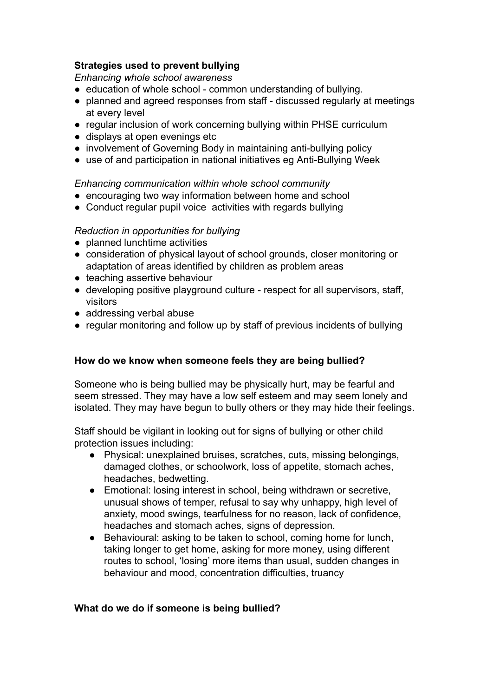## **Strategies used to prevent bullying**

*Enhancing whole school awareness*

- education of whole school common understanding of bullying.
- planned and agreed responses from staff discussed regularly at meetings at every level
- regular inclusion of work concerning bullying within PHSE curriculum
- displays at open evenings etc
- involvement of Governing Body in maintaining anti-bullying policy
- use of and participation in national initiatives eg Anti-Bullying Week

*Enhancing communication within whole school community*

- encouraging two way information between home and school
- Conduct regular pupil voice activities with regards bullying

#### *Reduction in opportunities for bullying*

- planned lunchtime activities
- consideration of physical layout of school grounds, closer monitoring or adaptation of areas identified by children as problem areas
- teaching assertive behaviour
- developing positive playground culture respect for all supervisors, staff, visitors
- addressing verbal abuse
- regular monitoring and follow up by staff of previous incidents of bullying

## **How do we know when someone feels they are being bullied?**

Someone who is being bullied may be physically hurt, may be fearful and seem stressed. They may have a low self esteem and may seem lonely and isolated. They may have begun to bully others or they may hide their feelings.

Staff should be vigilant in looking out for signs of bullying or other child protection issues including:

- Physical: unexplained bruises, scratches, cuts, missing belongings, damaged clothes, or schoolwork, loss of appetite, stomach aches, headaches, bedwetting.
- Emotional: losing interest in school, being withdrawn or secretive, unusual shows of temper, refusal to say why unhappy, high level of anxiety, mood swings, tearfulness for no reason, lack of confidence, headaches and stomach aches, signs of depression.
- Behavioural: asking to be taken to school, coming home for lunch, taking longer to get home, asking for more money, using different routes to school, 'losing' more items than usual, sudden changes in behaviour and mood, concentration difficulties, truancy

#### **What do we do if someone is being bullied?**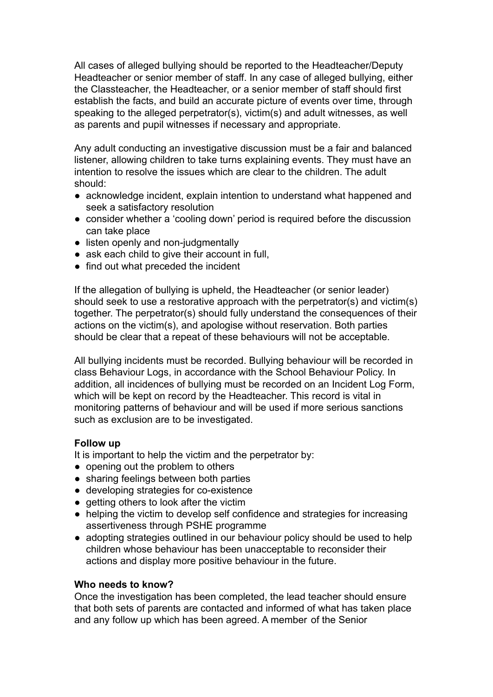All cases of alleged bullying should be reported to the Headteacher/Deputy Headteacher or senior member of staff. In any case of alleged bullying, either the Classteacher, the Headteacher, or a senior member of staff should first establish the facts, and build an accurate picture of events over time, through speaking to the alleged perpetrator(s), victim(s) and adult witnesses, as well as parents and pupil witnesses if necessary and appropriate.

Any adult conducting an investigative discussion must be a fair and balanced listener, allowing children to take turns explaining events. They must have an intention to resolve the issues which are clear to the children. The adult should:

- acknowledge incident, explain intention to understand what happened and seek a satisfactory resolution
- consider whether a 'cooling down' period is required before the discussion can take place
- listen openly and non-judgmentally
- ask each child to give their account in full.
- find out what preceded the incident

If the allegation of bullying is upheld, the Headteacher (or senior leader) should seek to use a restorative approach with the perpetrator(s) and victim(s) together. The perpetrator(s) should fully understand the consequences of their actions on the victim(s), and apologise without reservation. Both parties should be clear that a repeat of these behaviours will not be acceptable.

All bullying incidents must be recorded. Bullying behaviour will be recorded in class Behaviour Logs, in accordance with the School Behaviour Policy. In addition, all incidences of bullying must be recorded on an Incident Log Form, which will be kept on record by the Headteacher. This record is vital in monitoring patterns of behaviour and will be used if more serious sanctions such as exclusion are to be investigated.

#### **Follow up**

It is important to help the victim and the perpetrator by:

- opening out the problem to others
- sharing feelings between both parties
- developing strategies for co-existence
- getting others to look after the victim
- helping the victim to develop self confidence and strategies for increasing assertiveness through PSHE programme
- adopting strategies outlined in our behaviour policy should be used to help children whose behaviour has been unacceptable to reconsider their actions and display more positive behaviour in the future.

### **Who needs to know?**

Once the investigation has been completed, the lead teacher should ensure that both sets of parents are contacted and informed of what has taken place and any follow up which has been agreed. A member of the Senior